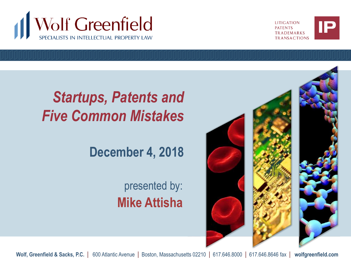



## *Startups, Patents and Five Common Mistakes*

### **December 4, 2018**

### presented by: **Mike Attisha**



**Wolf, Greenfield & Sacks, P.C.** | 600 Atlantic Avenue | Boston, Massachusetts 02210 | 617.646.8000 | 617.646.8646 fax | **wolfgreenfield.com**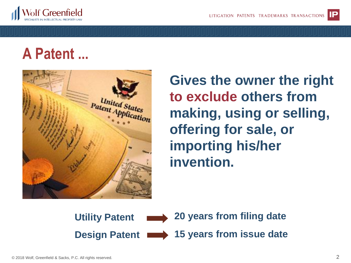

### **A Patent ...**



**Gives the owner the right to exclude others from making, using or selling, offering for sale, or importing his/her invention.**

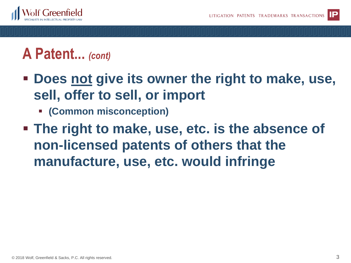

### **A Patent...** *(cont)*

- **Does not give its owner the right to make, use, sell, offer to sell, or import**
	- **(Common misconception)**
- **The right to make, use, etc. is the absence of non-licensed patents of others that the manufacture, use, etc. would infringe**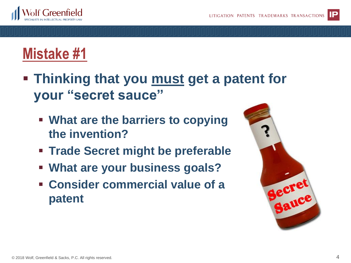

## **Mistake #1**

- **Thinking that you must get a patent for your "secret sauce"**
	- **What are the barriers to copying the invention?**
	- **Trade Secret might be preferable**
	- **What are your business goals?**
	- **Consider commercial value of a patent**

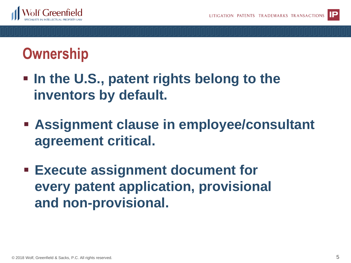

## **Ownership**

- $\blacksquare$  In the U.S., patent rights belong to the **inventors by default.**
- **Example 12 and 13 and 13 and 14 and 14 and 14 and 14 and 14 and 14 and 14 and 14 and 14 and 14 and 14 and 14 and 14 and 14 and 14 and 14 and 14 and 14 and 14 and 14 and 14 and 14 and 14 and 14 and 14 and 14 and 14 and 14 agreement critical.**
- **Execute assignment document for every patent application, provisional and non-provisional.**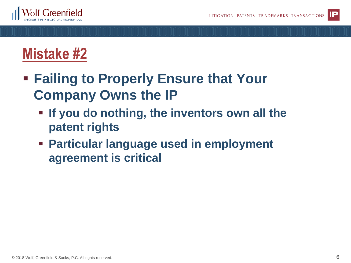



- **Failing to Properly Ensure that Your Company Owns the IP**
	- **If you do nothing, the inventors own all the patent rights**
	- **EXECUTE: Particular language used in employment agreement is critical**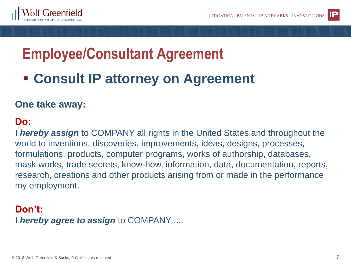



# **Employee/Consultant Agreement**

### ■ **Consult IP attorney on Agreement**

#### **One take away:**

#### **Do:**

I *hereby assign* to COMPANY all rights in the United States and throughout the world to inventions, discoveries, improvements, ideas, designs, processes, formulations, products, computer programs, works of authorship, databases, mask works, trade secrets, know-how, information, data, documentation, reports, research, creations and other products arising from or made in the performance my employment.

#### I *hereby agree to assign* to COMPANY .... **Don't:**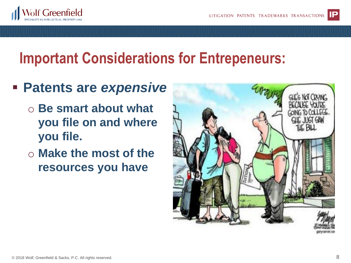

## **Important Considerations for Entrepeneurs:**

### ▪ **Patents are** *expensive*

- o **Be smart about what you file on and where you file.**
- o **Make the most of the resources you have**

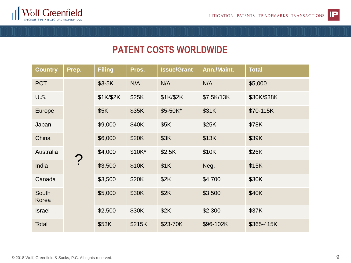



#### **PATENT COSTS WORLDWIDE**

| <b>Country</b> | Prep.                     | <b>Filing</b> | Pros.  | <b>Issue/Grant</b> | Ann./Maint. | <b>Total</b> |
|----------------|---------------------------|---------------|--------|--------------------|-------------|--------------|
| <b>PCT</b>     | $\boldsymbol{\mathsf{P}}$ | $$3-5K$       | N/A    | N/A                | N/A         | \$5,000      |
| U.S.           |                           | \$1K/\$2K     | \$25K  | \$1K/\$2K          | \$7.5K/13K  | \$30K/\$38K  |
| Europe         |                           | \$5K          | \$35K  | \$5-50K*           | \$31K       | \$70-115K    |
| Japan          |                           | \$9,000       | \$40K  | \$5K               | \$25K       | \$78K        |
| China          |                           | \$6,000       | \$20K  | \$3K               | \$13K       | \$39K        |
| Australia      |                           | \$4,000       | \$10K* | \$2.5K             | \$10K       | \$26K        |
| India          |                           | \$3,500       | \$10K  | \$1K               | Neg.        | \$15K        |
| Canada         |                           | \$3,500       | \$20K  | \$2K               | \$4,700     | \$30K        |
| South<br>Korea |                           | \$5,000       | \$30K  | \$2K               | \$3,500     | \$40K        |
| <b>Israel</b>  |                           | \$2,500       | \$30K  | \$2K               | \$2,300     | \$37K        |
| Total          |                           | \$53K         | \$215K | \$23-70K           | \$96-102K   | \$365-415K   |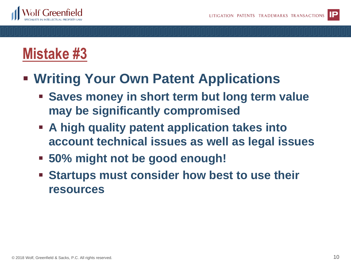



### ▪ **Writing Your Own Patent Applications**

- **Example 3 Saves money in short term but long term value may be significantly compromised**
- **Example 2 A high quality patent application takes into account technical issues as well as legal issues**
- **50% might not be good enough!**
- **Example 3 Startups must consider how best to use their resources**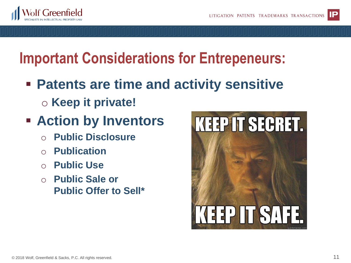

# **Important Considerations for Entrepeneurs:**

- **Patents are time and activity sensitive** 
	- o **Keep it private!**
- **Action by Inventors**
	- **Public Disclosure**
	- **Publication**
	- **Public Use**
	- o **Public Sale or Public Offer to Sell\***

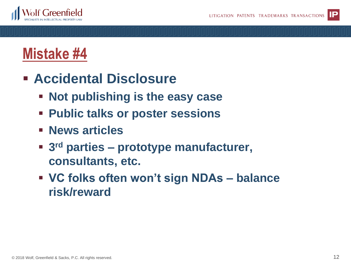

### **Mistake #4**

- **Accidental Disclosure**
	- **Not publishing is the easy case**
	- **Public talks or poster sessions**
	- **News articles**
	- 3<sup>rd</sup> parties prototype manufacturer, **consultants, etc.**
	- **VC folks often won't sign NDAs – balance risk/reward**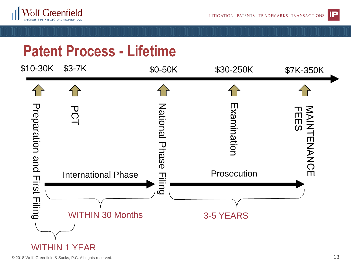



### **Patent Process - Lifetime**

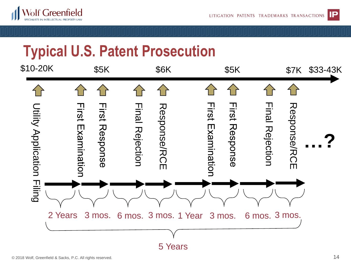



# **Typical U.S. Patent Prosecution**

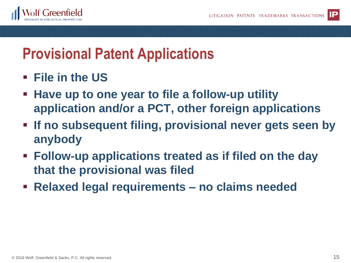

### **Provisional Patent Applications**

- **File in the US**
- **EXTE X Have up to one year to file a follow-up utility application and/or a PCT, other foreign applications**
- **Example 15 If no subsequent filing, provisional never gets seen by anybody**
- **Follow-up applications treated as if filed on the day that the provisional was filed**
- **Relaxed legal requirements – no claims needed**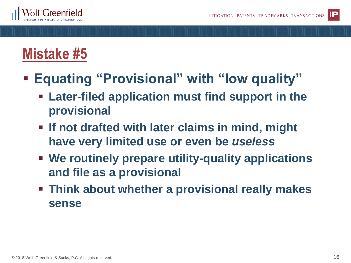

## **Mistake #5**

- **Equating "Provisional" with "low quality"**
	- **Later-filed application must find support in the provisional**
	- **Example 15 If not drafted with later claims in mind, might have very limited use or even be** *useless*
	- **We routinely prepare utility-quality applications and file as a provisional**
	- **EXTE Think about whether a provisional really makes sense**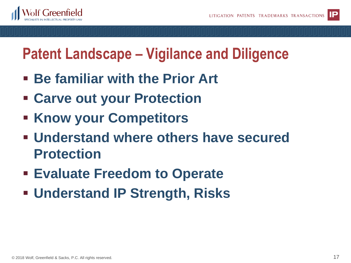



## **Patent Landscape – Vigilance and Diligence**

- **Be familiar with the Prior Art**
- **Carve out your Protection**
- **Know your Competitors**
- **Understand where others have secured Protection**
- **Evaluate Freedom to Operate**
- **Understand IP Strength, Risks**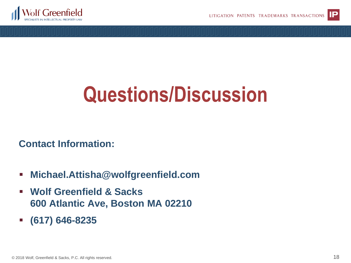



# **Questions/Discussion**

**Contact Information:**

- **Michael.Attisha@wolfgreenfield.com**
- **Wolf Greenfield & Sacks 600 Atlantic Ave, Boston MA 02210**
- **(617) 646-8235**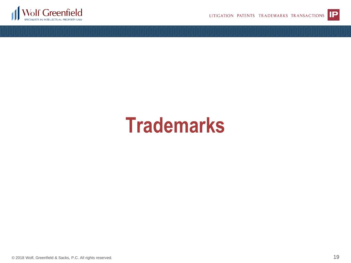



# **Trademarks**

© 2018 Wolf, Greenfield & Sacks, P.C. All rights reserved.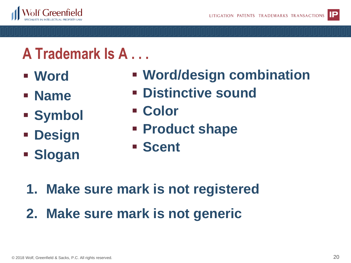

# **A Trademark Is A . . .**

▪ **Word**

▪ **Name**

▪ **Symbol**

▪ **Design**

▪ **Slogan**

- **Word/design combination**
- **Distinctive sound**
- **Color**
	- **Product shape**
	- **Scent**

- **1. Make sure mark is not registered**
- **2. Make sure mark is not generic**